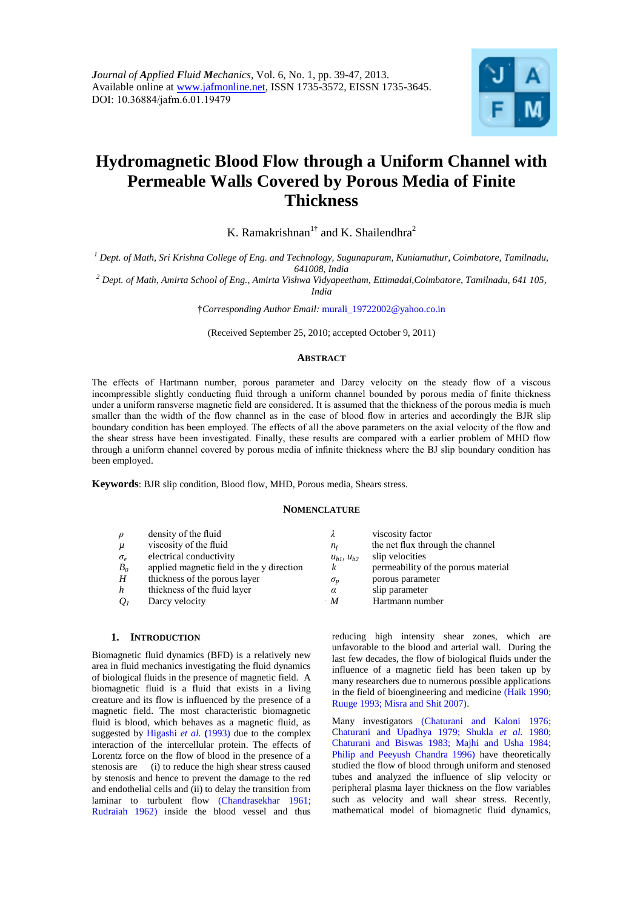

# **Hydromagnetic Blood Flow through a Uniform Channel with Permeable Walls Covered by Porous Media of Finite Thickness**

K. Ramakrishnan<sup>1†</sup> and K. Shailendhra<sup>2</sup>

*<sup>1</sup> Dept. of Math, Sri Krishna College of Eng. and Technology, Sugunapuram, Kuniamuthur, Coimbatore, Tamilnadu, 641008, India*

*<sup>2</sup> Dept. of Math, Amirta School of Eng., Amirta Vishwa Vidyapeetham, Ettimadai,Coimbatore, Tamilnadu, 641 105, India*

†*Corresponding Author Email:* murali\_19722002@yahoo.co.in

(Received September 25, 2010; accepted October 9, 2011)

# **ABSTRACT**

The effects of Hartmann number, porous parameter and Darcy velocity on the steady flow of a viscous incompressible slightly conducting fluid through a uniform channel bounded by porous media of finite thickness under a uniform ransverse magnetic field are considered. It is assumed that the thickness of the porous media is much smaller than the width of the flow channel as in the case of blood flow in arteries and accordingly the BJR slip boundary condition has been employed. The effects of all the above parameters on the axial velocity of the flow and the shear stress have been investigated. Finally, these results are compared with a earlier problem of MHD flow through a uniform channel covered by porous media of infinite thickness where the BJ slip boundary condition has been employed.

**Keywords**: BJR slip condition, Blood flow, MHD, Porous media, Shears stress.

## **NOMENCLATURE**

| $\rho$                            | density of the fluid                      |                     | viscosity factor                    |
|-----------------------------------|-------------------------------------------|---------------------|-------------------------------------|
| $\mu$                             | viscosity of the fluid                    | $n_f$               | the net flux through the channel    |
| $\sigma_{\scriptscriptstyle\rho}$ | electrical conductivity                   | $u_{h1}$ , $u_{h2}$ | slip velocities                     |
| $B_0$                             | applied magnetic field in the y direction | $\boldsymbol{k}$    | permeability of the porous material |
| H                                 | thickness of the porous layer             | $\sigma_{p}$        | porous parameter                    |
| $\boldsymbol{h}$                  | thickness of the fluid layer              | $\alpha$            | slip parameter                      |
| O <sub>1</sub>                    | Darcy velocity                            | $\boldsymbol{M}$    | Hartmann number                     |
|                                   |                                           |                     |                                     |

### **1. INTRODUCTION**

Biomagnetic fluid dynamics (BFD) is a relatively new area in fluid mechanics investigating the fluid dynamics of biological fluids in the presence of magnetic field. A biomagnetic fluid is a fluid that exists in a living creature and its flow is influenced by the presence of a magnetic field. The most characteristic biomagnetic fluid is blood, which behaves as a magnetic fluid, as suggested by Higashi *et al.* **(**1993) due to the complex interaction of the intercellular protein. The effects of Lorentz force on the flow of blood in the presence of a stenosis are (i) to reduce the high shear stress caused by stenosis and hence to prevent the damage to the red and endothelial cells and (ii) to delay the transition from laminar to turbulent flow (Chandrasekhar 1961; Rudraiah 1962) inside the blood vessel and thus

reducing high intensity shear zones, which are unfavorable to the blood and arterial wall. During the last few decades, the flow of biological fluids under the influence of a magnetic field has been taken up by many researchers due to numerous possible applications in the field of bioengineering and medicine (Haik 1990; Ruuge 1993; Misra and Shit 2007).

Many investigators (Chaturani and Kaloni 1976; Chaturani and Upadhya 1979; Shukla *et al.* 1980; Chaturani and Biswas 1983; Majhi and Usha 1984; Philip and Peeyush Chandra 1996) have theoretically studied the flow of blood through uniform and stenosed tubes and analyzed the influence of slip velocity or peripheral plasma layer thickness on the flow variables such as velocity and wall shear stress. Recently, mathematical model of biomagnetic fluid dynamics,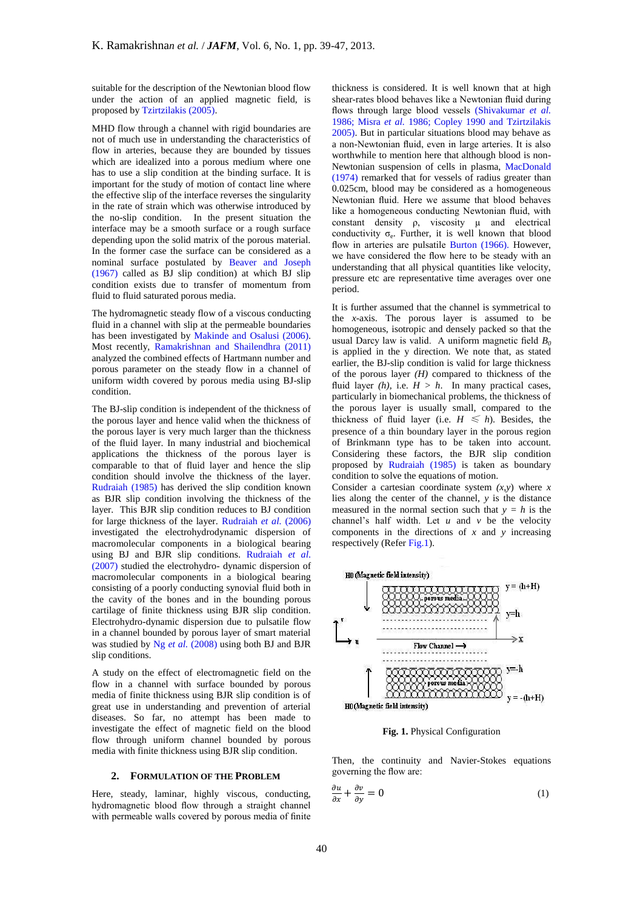suitable for the description of the Newtonian blood flow under the action of an applied magnetic field, is proposed by Tzirtzilakis (2005).

MHD flow through a channel with rigid boundaries are not of much use in understanding the characteristics of flow in arteries, because they are bounded by tissues which are idealized into a porous medium where one has to use a slip condition at the binding surface. It is important for the study of motion of contact line where the effective slip of the interface reverses the singularity in the rate of strain which was otherwise introduced by the no-slip condition. In the present situation the interface may be a smooth surface or a rough surface depending upon the solid matrix of the porous material. In the former case the surface can be considered as a nominal surface postulated by Beaver and Joseph (1967) called as BJ slip condition) at which BJ slip condition exists due to transfer of momentum from fluid to fluid saturated porous media.

The hydromagnetic steady flow of a viscous conducting fluid in a channel with slip at the permeable boundaries has been investigated by Makinde and Osalusi (2006). Most recently, Ramakrishnan and Shailendhra (2011) analyzed the combined effects of Hartmann number and porous parameter on the steady flow in a channel of uniform width covered by porous media using BJ-slip condition.

The BJ-slip condition is independent of the thickness of the porous layer and hence valid when the thickness of the porous layer is very much larger than the thickness of the fluid layer. In many industrial and biochemical applications the thickness of the porous layer is comparable to that of fluid layer and hence the slip condition should involve the thickness of the layer. Rudraiah (1985) has derived the slip condition known as BJR slip condition involving the thickness of the layer. This BJR slip condition reduces to BJ condition for large thickness of the layer. Rudraiah *et al.* (2006) investigated the electrohydrodynamic dispersion of macromolecular components in a biological bearing using BJ and BJR slip conditions. Rudraiah *et al*. (2007) studied the electrohydro- dynamic dispersion of macromolecular components in a biological bearing consisting of a poorly conducting synovial fluid both in the cavity of the bones and in the bounding porous cartilage of finite thickness using BJR slip condition. Electrohydro-dynamic dispersion due to pulsatile flow in a channel bounded by porous layer of smart material was studied by Ng *et al.* (2008) using both BJ and BJR slip conditions.

A study on the effect of electromagnetic field on the flow in a channel with surface bounded by porous media of finite thickness using BJR slip condition is of great use in understanding and prevention of arterial diseases. So far, no attempt has been made to investigate the effect of magnetic field on the blood flow through uniform channel bounded by porous media with finite thickness using BJR slip condition.

# **2. FORMULATION OF THE PROBLEM**

Here, steady, laminar, highly viscous, conducting, hydromagnetic blood flow through a straight channel with permeable walls covered by porous media of finite thickness is considered. It is well known that at high shear-rates blood behaves like a Newtonian fluid during flows through large blood vessels (Shivakumar *et al.* 1986; Misra *et al.* 1986; Copley 1990 and Tzirtzilakis 2005). But in particular situations blood may behave as a non-Newtonian fluid, even in large arteries. It is also worthwhile to mention here that although blood is non-Newtonian suspension of cells in plasma, MacDonald (1974) remarked that for vessels of radius greater than 0.025cm, blood may be considered as a homogeneous Newtonian fluid. Here we assume that blood behaves like a homogeneous conducting Newtonian fluid, with constant density  $\rho$ , viscosity  $\mu$  and electrical conductivity  $\sigma_e$ . Further, it is well known that blood flow in arteries are pulsatile Burton (1966). However, we have considered the flow here to be steady with an understanding that all physical quantities like velocity, pressure etc are representative time averages over one period.

It is further assumed that the channel is symmetrical to the *x*-axis. The porous layer is assumed to be homogeneous, isotropic and densely packed so that the usual Darcy law is valid. A uniform magnetic field  $B_0$ is applied in the y direction. We note that, as stated earlier, the BJ-slip condition is valid for large thickness of the porous layer  $(H)$  compared to thickness of the fluid layer  $(h)$ , i.e.  $H > h$ . In many practical cases, particularly in biomechanical problems, the thickness of the porous layer is usually small, compared to the thickness of fluid layer (i.e.  $H \leq h$ ). Besides, the presence of a thin boundary layer in the porous region of Brinkmann type has to be taken into account. Considering these factors, the BJR slip condition proposed by Rudraiah (1985) is taken as boundary condition to solve the equations of motion.

Consider a cartesian coordinate system  $(x, y)$  where  $x$ lies along the center of the channel, *y* is the distance measured in the normal section such that  $y = h$  is the channel's half width. Let  $u$  and  $v$  be the velocity components in the directions of  $x$  and  $y$  increasing respectively (Refer Fig.1).



**Fig. 1.** Physical Configuration

Then, the continuity and Navier-Stokes equations governing the flow are:

$$
\frac{\partial u}{\partial x} + \frac{\partial v}{\partial y} = 0 \tag{1}
$$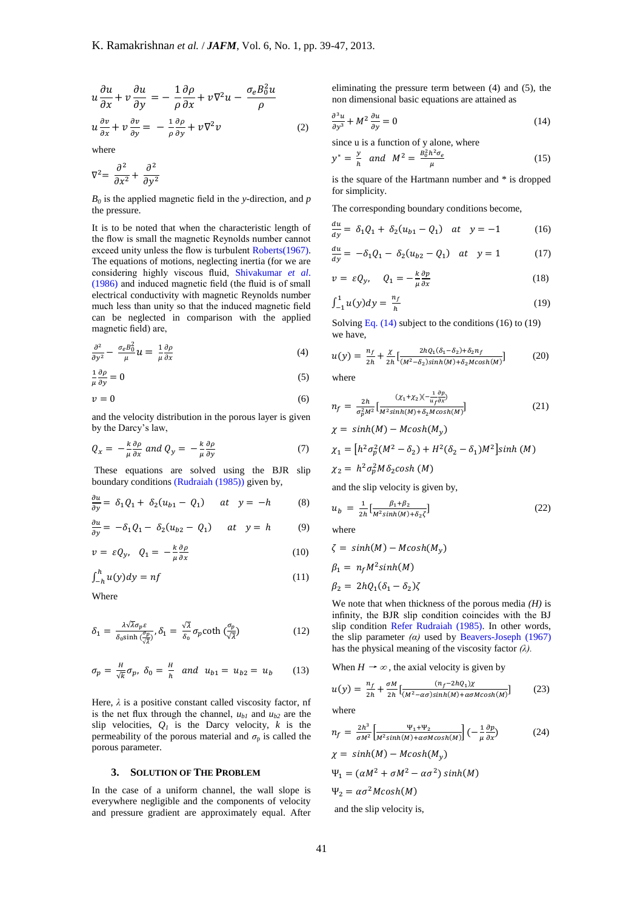$$
u\frac{\partial u}{\partial x} + v\frac{\partial u}{\partial y} = -\frac{1}{\rho}\frac{\partial \rho}{\partial x} + v\nabla^2 u - \frac{\sigma_e B_0^2 u}{\rho}
$$
  

$$
u\frac{\partial v}{\partial x} + v\frac{\partial v}{\partial y} = -\frac{1}{\rho}\frac{\partial \rho}{\partial y} + v\nabla^2 v
$$
 (2)

where

$$
\nabla^2 = \frac{\partial^2}{\partial x^2} + \frac{\partial^2}{\partial y^2}
$$

*B0* is the applied magnetic field in the *y*-direction, and *p*  the pressure.

It is to be noted that when the characteristic length of the flow is small the magnetic Reynolds number cannot exceed unity unless the flow is turbulent Roberts(1967). The equations of motions, neglecting inertia (for we are considering highly viscous fluid, Shivakumar *et al*. (1986) and induced magnetic field (the fluid is of small electrical conductivity with magnetic Reynolds number much less than unity so that the induced magnetic field can be neglected in comparison with the applied magnetic field) are,

$$
\frac{\partial^2}{\partial y^2} - \frac{\sigma_e B_0^2}{\mu} u = \frac{1}{\mu} \frac{\partial \rho}{\partial x}
$$
 (4)

$$
\frac{1}{\mu} \frac{\partial \rho}{\partial y} = 0 \tag{5}
$$

$$
v = 0 \tag{6}
$$

and the velocity distribution in the porous layer is given by the Darcy's law,

$$
Q_x = -\frac{k}{\mu} \frac{\partial \rho}{\partial x} \text{ and } Q_y = -\frac{k}{\mu} \frac{\partial \rho}{\partial y} \tag{7}
$$

These equations are solved using the BJR slip boundary conditions (Rudraiah (1985)) given by,

$$
\frac{\partial u}{\partial y} = \delta_1 Q_1 + \delta_2 (u_{b1} - Q_1) \quad at \quad y = -h \tag{8}
$$

$$
\frac{\partial u}{\partial y} = -\delta_1 Q_1 - \delta_2 (u_{b2} - Q_1) \quad at \quad y = h \tag{9}
$$

$$
v = \varepsilon Q_y, \quad Q_1 = -\frac{k}{\mu} \frac{\partial \rho}{\partial x} \tag{10}
$$

$$
\int_{-h}^{h} u(y) dy = nf \tag{11}
$$

Where

$$
\delta_1 = \frac{\lambda \sqrt{\lambda} \sigma_p \varepsilon}{\delta_0 \sinh\left(\frac{\sigma_p}{\sqrt{\lambda}}\right)}, \delta_1 = \frac{\sqrt{\lambda}}{\delta_0} \sigma_p \coth\left(\frac{\sigma_p}{\sqrt{\lambda}}\right) \tag{12}
$$

$$
\sigma_p = \frac{H}{\sqrt{k}} \sigma_p, \ \delta_0 = \frac{H}{h} \ \text{and} \ \ u_{b1} = u_{b2} = u_b \tag{13}
$$

Here,  $\lambda$  is a positive constant called viscosity factor, nf is the net flux through the channel,  $u_{b1}$  and  $u_{b2}$  are the slip velocities,  $Q_l$  is the Darcy velocity,  $k$  is the permeability of the porous material and  $\sigma_p$  is called the porous parameter.

#### **3. SOLUTION OF THE PROBLEM**

In the case of a uniform channel, the wall slope is everywhere negligible and the components of velocity and pressure gradient are approximately equal. After eliminating the pressure term between (4) and (5), the non dimensional basic equations are attained as

$$
\frac{\partial^3 u}{\partial y^3} + M^2 \frac{\partial u}{\partial y} = 0 \tag{14}
$$

since u is a function of y alone, where

$$
y^* = \frac{y}{h} \quad \text{and} \quad M^2 = \frac{B_0^2 h^2 \sigma_e}{\mu} \tag{15}
$$

is the square of the Hartmann number and \* is dropped for simplicity.

The corresponding boundary conditions become,

$$
\frac{du}{dy} = \delta_1 Q_1 + \delta_2 (u_{b1} - Q_1) \quad at \quad y = -1 \tag{16}
$$

$$
\frac{du}{dy} = -\delta_1 Q_1 - \delta_2 (u_{b2} - Q_1) \quad at \quad y = 1 \tag{17}
$$

$$
v = \varepsilon Q_y, \quad Q_1 = -\frac{k}{\mu} \frac{\partial p}{\partial x} \tag{18}
$$

$$
\int_{-1}^{1} u(y) dy = \frac{n_f}{h} \tag{19}
$$

Solving Eq.  $(14)$  subject to the conditions  $(16)$  to  $(19)$ we have,

$$
u(y) = \frac{n_f}{2h} + \frac{\chi}{2h} \left[ \frac{2hQ_1(\delta_1 - \delta_2) + \delta_2 n_f}{(M^2 - \delta_2)\sinh(M) + \delta_2 M \cosh(M)} \right] \tag{20}
$$

where

$$
n_f = \frac{2h}{\sigma_p^2 M^2} \left[ \frac{(X_1 + X_2)(-\frac{1}{u_f \partial x})}{M^2 \sinh(M) + \delta_2 M \cosh(M)} \right]
$$
(21)

$$
\chi = 3\sin(\omega t) \quad \text{arcsin}(\omega y)
$$
\n
$$
\chi_1 = \left[ h^2 \sigma_p^2 (M^2 - \delta_2) + H^2 (\delta_2 - \delta_1) M^2 \right] \sinh(M)
$$

$$
\chi_2 = h^2 \sigma_n^2 M \delta_2 \cosh\left(\frac{M}{2}\right)
$$

 $v = \sinh(M) - M \cosh(M)$ 

and the slip velocity is given by,

$$
u_b = \frac{1}{2h} \left[ \frac{\beta_1 + \beta_2}{M^2 \sinh(M) + \delta_2 \zeta} \right]
$$
 (22)

where

$$
\zeta = \sinh(M) - M \cosh(M_y)
$$
  
\n
$$
\beta_1 = n_f M^2 \sinh(M)
$$
  
\n
$$
\beta_2 = 2hQ_1(\delta_1 - \delta_2)\zeta
$$

We note that when thickness of the porous media *(H)* is infinity, the BJR slip condition coincides with the BJ slip condition Refer Rudraiah (1985). In other words, the slip parameter *(α)* used by Beavers-Joseph (1967) has the physical meaning of the viscosity factor *(λ).*

When  $H \rightarrow \infty$ , the axial velocity is given by

$$
u(y) = \frac{n_f}{2h} + \frac{\sigma M}{2h} \left[ \frac{(n_f - 2hQ_1)\chi}{(M^2 - \alpha\sigma)\sinh(M) + \alpha\sigma M \cosh(M)} \right]
$$
(23)

where

$$
n_f = \frac{2h^3}{\sigma M^2} \left[ \frac{\Psi_1 + \Psi_2}{M^2 \sinh(M) + \alpha \sigma M \cosh(M)} \right] \left( -\frac{1}{\mu} \frac{\partial p}{\partial x} \right) \tag{24}
$$

$$
\chi = \sinh(M) - M \cosh(M_y)
$$
  
\n
$$
\Psi_1 = (\alpha M^2 + \sigma M^2 - \alpha \sigma^2) \sinh(M)
$$
  
\n
$$
\Psi_2 = \alpha \sigma^2 M \cosh(M)
$$

and the slip velocity is,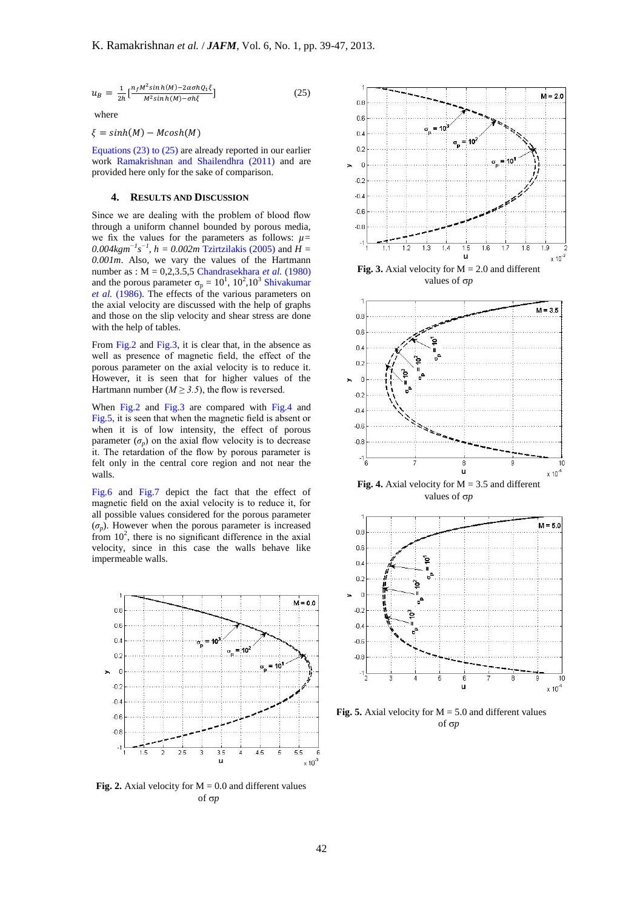$$
u_B = \frac{1}{2h} \left[ \frac{n_f M^2 \sinh(M) - 2\alpha \sigma h Q_1 \xi}{M^2 \sinh(M) - \sigma h \xi} \right]
$$
(25)

where

 $\xi = sinh(M) - Mcosh(M)$ 

Equations (23) to (25) are already reported in our earlier work Ramakrishnan and Shailendhra (2011) and are provided here only for the sake of comparison.

# **4. RESULTS AND DISCUSSION**

Since we are dealing with the problem of blood flow through a uniform channel bounded by porous media, we fix the values for the parameters as follows:  $\mu$ = *0.004kgm<sup>-1</sup>s<sup>-1</sup>*, *h* = *0.002m* Tzirtzilakis (2005) and *H* = *0.001m*. Also, we vary the values of the Hartmann number as : M = 0,2,3.5,5 Chandrasekhara *et al.* (1980) and the porous parameter  $\sigma_p = 10^1$ ,  $10^2$ ,  $10^3$  Shivakumar *et al.* (1986). The effects of the various parameters on the axial velocity are discussed with the help of graphs and those on the slip velocity and shear stress are done with the help of tables.

From Fig.2 and Fig.3, it is clear that, in the absence as well as presence of magnetic field, the effect of the porous parameter on the axial velocity is to reduce it. However, it is seen that for higher values of the Hartmann number ( $M \geq 3.5$ ), the flow is reversed.

When Fig.2 and Fig.3 are compared with Fig.4 and Fig.5, it is seen that when the magnetic field is absent or when it is of low intensity, the effect of porous parameter  $(\sigma_p)$  on the axial flow velocity is to decrease it. The retardation of the flow by porous parameter is felt only in the central core region and not near the walls.

Fig.6 and Fig.7 depict the fact that the effect of magnetic field on the axial velocity is to reduce it, for all possible values considered for the porous parameter  $(\sigma_p)$ . However when the porous parameter is increased from  $10^2$ , there is no significant difference in the axial velocity, since in this case the walls behave like impermeable walls.



**Fig. 2.** Axial velocity for  $M = 0.0$  and different values of  $\sigma p$ 



**Fig. 3.** Axial velocity for  $M = 2.0$  and different values of *p*



**Fig. 4.** Axial velocity for  $M = 3.5$  and different values of *p*



**Fig. 5.** Axial velocity for  $M = 5.0$  and different values of  $\sigma p$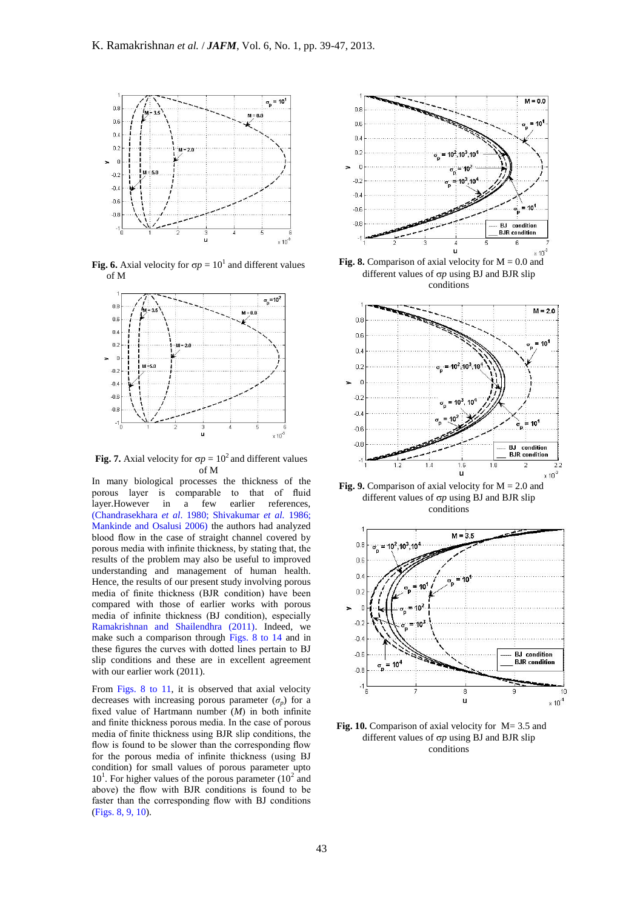

**Fig. 6.** Axial velocity for  $\sigma p = 10^1$  and different values of M



**Fig. 7.** Axial velocity for  $\sigma p = 10^2$  and different values of M

In many biological processes the thickness of the porous layer is comparable to that of fluid layer. However in a few earlier references. earlier references. (Chandrasekhara *et al*. 1980; Shivakumar *et al.* 1986; Mankinde and Osalusi 2006) the authors had analyzed blood flow in the case of straight channel covered by porous media with infinite thickness, by stating that, the results of the problem may also be useful to improved understanding and management of human health. Hence, the results of our present study involving porous media of finite thickness (BJR condition) have been compared with those of earlier works with porous media of infinite thickness (BJ condition), especially Ramakrishnan and Shailendhra (2011). Indeed, we make such a comparison through Figs. 8 to 14 and in these figures the curves with dotted lines pertain to BJ slip conditions and these are in excellent agreement with our earlier work (2011).

From Figs. 8 to 11, it is observed that axial velocity decreases with increasing porous parameter  $(\sigma_p)$  for a fixed value of Hartmann number (*M*) in both infinite and finite thickness porous media. In the case of porous media of finite thickness using BJR slip conditions, the flow is found to be slower than the corresponding flow for the porous media of infinite thickness (using BJ condition) for small values of porous parameter upto  $10<sup>1</sup>$ . For higher values of the porous parameter  $(10<sup>2</sup>$  and above) the flow with BJR conditions is found to be faster than the corresponding flow with BJ conditions (Figs. 8, 9, 10).



**Fig. 8.** Comparison of axial velocity for  $M = 0.0$  and different values of  $\sigma p$  using BJ and BJR slip conditions



different values of  $\sigma p$  using BJ and BJR slip conditions



**Fig. 10.** Comparison of axial velocity for M= 3.5 and different values of  $\sigma p$  using BJ and BJR slip conditions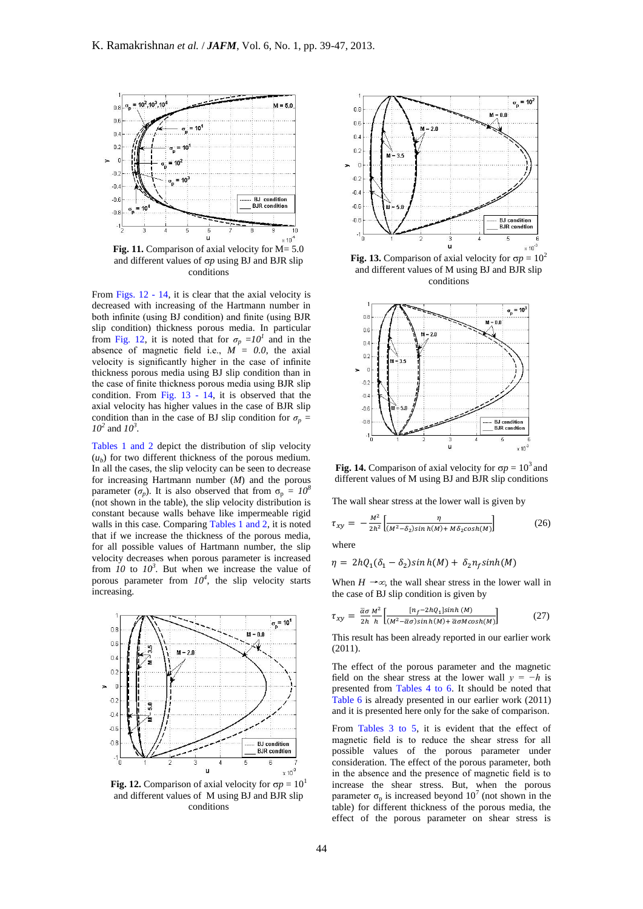

Fig. 11. Comparison of axial velocity for M= 5.0 and different values of  $\sigma p$  using BJ and BJR slip conditions

From Figs. 12 - 14, it is clear that the axial velocity is decreased with increasing of the Hartmann number in both infinite (using BJ condition) and finite (using BJR slip condition) thickness porous media. In particular from Fig. 12, it is noted that for  $\sigma_p = I0^I$  and in the absence of magnetic field i.e.,  $M = 0.0$ , the axial velocity is significantly higher in the case of infinite thickness porous media using BJ slip condition than in the case of finite thickness porous media using BJR slip condition. From Fig. 13 - 14, it is observed that the axial velocity has higher values in the case of BJR slip condition than in the case of BJ slip condition for  $\sigma_p$  = *10<sup>2</sup>* and *10<sup>3</sup> .*

Tables 1 and 2 depict the distribution of slip velocity  $(u_b)$  for two different thickness of the porous medium. In all the cases, the slip velocity can be seen to decrease for increasing Hartmann number (*M*) and the porous parameter  $(\sigma_p)$ . It is also observed that from  $\sigma_p = 10^8$ (not shown in the table), the slip velocity distribution is constant because walls behave like impermeable rigid walls in this case. Comparing Tables 1 and 2, it is noted that if we increase the thickness of the porous media, for all possible values of Hartmann number, the slip velocity decreases when porous parameter is increased from  $10$  to  $10<sup>3</sup>$ . But when we increase the value of porous parameter from  $10^4$ , the slip velocity starts increasing.



**Fig. 12.** Comparison of axial velocity for  $\sigma p = 10^1$ and different values of M using BJ and BJR slip conditions



**Fig. 13.** Comparison of axial velocity for  $\sigma p = 10^2$ and different values of M using BJ and BJR slip conditions



**Fig. 14.** Comparison of axial velocity for  $\sigma p = 10^3$  and different values of M using BJ and BJR slip conditions

The wall shear stress at the lower wall is given by

$$
\tau_{xy} = -\frac{M^2}{2h^2} \left[ \frac{\eta}{(M^2 - \delta_2)\sin h(M) + M\delta_2 \cosh(M)} \right] \tag{26}
$$

where

$$
\eta = 2hQ_1(\delta_1 - \delta_2)\sinh(M) + \delta_2 n_f \sinh(M)
$$

When  $H \rightarrow \infty$  the wall shear stress in the lower wall in the case of BJ slip condition is given by

$$
\tau_{xy} = \frac{\bar{\alpha}\sigma}{2h} \frac{M^2}{h} \left[ \frac{[n_f - 2hQ_1] \sinh(M)}{(M^2 - \bar{\alpha}\sigma)\sinh(M) + \bar{\alpha}\sigma M \cosh(M)} \right] \tag{27}
$$

This result has been already reported in our earlier work (2011).

The effect of the porous parameter and the magnetic field on the shear stress at the lower wall  $y = -h$  is presented from Tables 4 to 6. It should be noted that Table 6 is already presented in our earlier work (2011) and it is presented here only for the sake of comparison.

From Tables 3 to 5, it is evident that the effect of magnetic field is to reduce the shear stress for all possible values of the porous parameter under consideration. The effect of the porous parameter, both in the absence and the presence of magnetic field is to increase the shear stress. But, when the porous parameter  $\sigma_p$  is increased beyond 10<sup>7</sup> (not shown in the table) for different thickness of the porous media, the effect of the porous parameter on shear stress is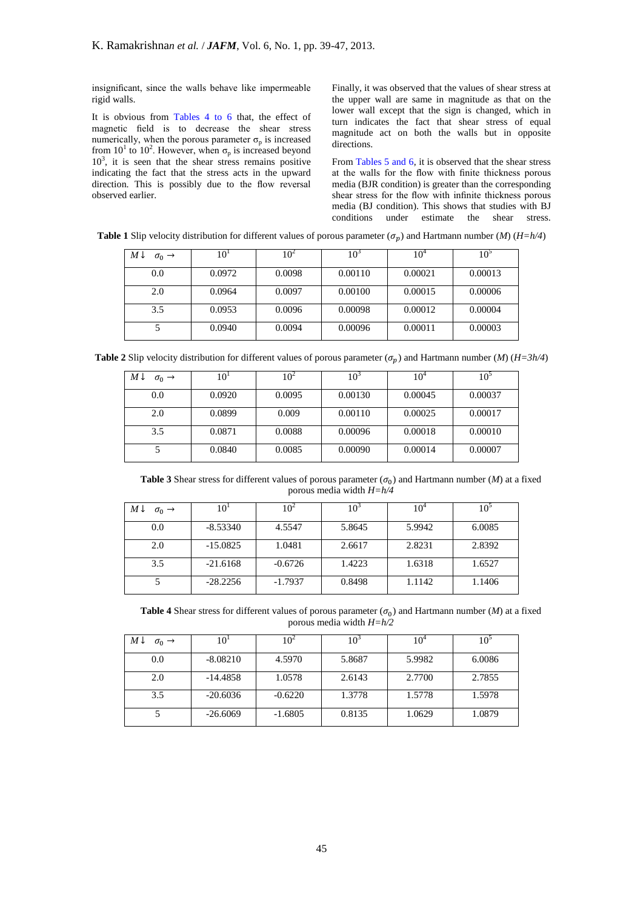insignificant, since the walls behave like impermeable rigid walls.

It is obvious from Tables 4 to 6 that, the effect of magnetic field is to decrease the shear stress numerically, when the porous parameter  $\sigma_p$  is increased from  $10^1$  to  $10^2$ . However, when  $\sigma_p$  is increased beyond  $10<sup>3</sup>$ , it is seen that the shear stress remains positive indicating the fact that the stress acts in the upward direction. This is possibly due to the flow reversal observed earlier.

Finally, it was observed that the values of shear stress at the upper wall are same in magnitude as that on the lower wall except that the sign is changed, which in turn indicates the fact that shear stress of equal magnitude act on both the walls but in opposite directions.

From Tables 5 and 6, it is observed that the shear stress at the walls for the flow with finite thickness porous media (BJR condition) is greater than the corresponding shear stress for the flow with infinite thickness porous media (BJ condition). This shows that studies with BJ conditions under estimate the shear stress.

**Table 1** Slip velocity distribution for different values of porous parameter  $(\sigma_n)$  and Hartmann number (*M*) (*H=h/4*)

| $M\downarrow$<br>$\sigma_0 \rightarrow$ | 10     | 10 <sup>2</sup> | 10 <sup>5</sup> | 10      | IO.     |
|-----------------------------------------|--------|-----------------|-----------------|---------|---------|
| 0.0                                     | 0.0972 | 0.0098          | 0.00110         | 0.00021 | 0.00013 |
| 2.0                                     | 0.0964 | 0.0097          | 0.00100         | 0.00015 | 0.00006 |
| 3.5                                     | 0.0953 | 0.0096          | 0.00098         | 0.00012 | 0.00004 |
|                                         | 0.0940 | 0.0094          | 0.00096         | 0.00011 | 0.00003 |

**Table 2** Slip velocity distribution for different values of porous parameter ( $\sigma_n$ ) and Hartmann number (*M*) ( $H=3h/4$ )

| $M \downarrow$<br>$\sigma_0 \rightarrow$ | 10'    | 10 <sup>2</sup> | 10 <sup>5</sup> | $10^4$  | 10      |
|------------------------------------------|--------|-----------------|-----------------|---------|---------|
| 0.0                                      | 0.0920 | 0.0095          | 0.00130         | 0.00045 | 0.00037 |
| 2.0                                      | 0.0899 | 0.009           | 0.00110         | 0.00025 | 0.00017 |
| 3.5                                      | 0.0871 | 0.0088          | 0.00096         | 0.00018 | 0.00010 |
|                                          | 0.0840 | 0.0085          | 0.00090         | 0.00014 | 0.00007 |

**Table 3** Shear stress for different values of porous parameter  $(\sigma_0)$  and Hartmann number (*M*) at a fixed porous media width *H=h/4*

| Μ↓<br>$\sigma_0 \rightarrow$ | 10         | 10 <sup>2</sup> | $10^{3}$ | 10°    |        |
|------------------------------|------------|-----------------|----------|--------|--------|
| 0.0                          | $-8.53340$ | 4.5547          | 5.8645   | 5.9942 | 6.0085 |
| 2.0                          | $-15.0825$ | 1.0481          | 2.6617   | 2.8231 | 2.8392 |
| 3.5                          | $-21.6168$ | $-0.6726$       | 1.4223   | 1.6318 | 1.6527 |
|                              | $-28.2256$ | $-1.7937$       | 0.8498   | 1.1142 | 1.1406 |

**Table 4** Shear stress for different values of porous parameter  $(\sigma_0)$  and Hartmann number (*M*) at a fixed porous media width *H=h/2*

| Μ↓<br>$\sigma_0 \rightarrow$ | 10         | $0^4$     | 10 <sup>-</sup> | 10'    | 10     |
|------------------------------|------------|-----------|-----------------|--------|--------|
| 0.0                          | $-8.08210$ | 4.5970    | 5.8687          | 5.9982 | 6.0086 |
| 2.0                          | $-14.4858$ | 1.0578    | 2.6143          | 2.7700 | 2.7855 |
| 3.5                          | $-20.6036$ | $-0.6220$ | 1.3778          | 1.5778 | 1.5978 |
|                              | $-26.6069$ | $-1.6805$ | 0.8135          | 1.0629 | 1.0879 |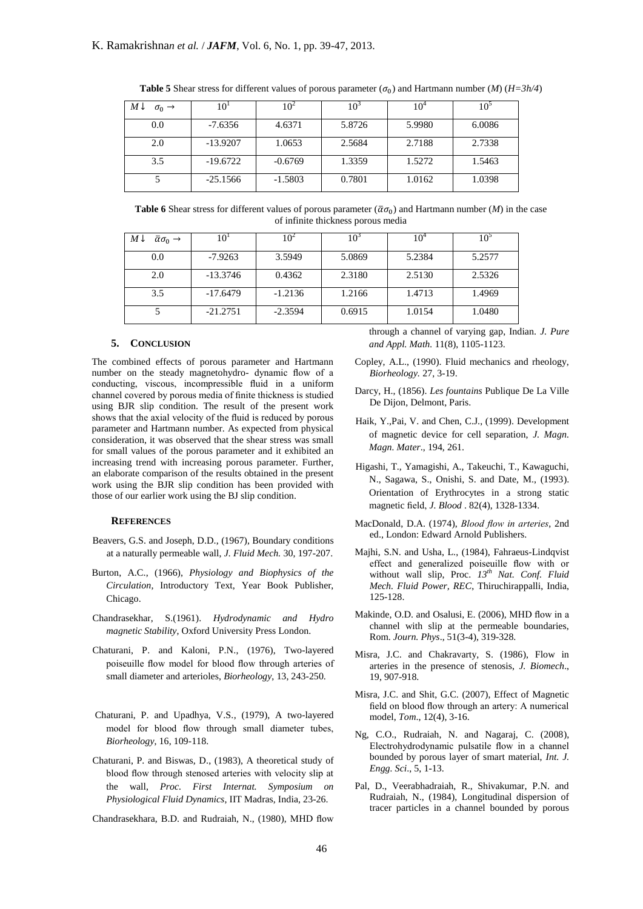| $M\downarrow$<br>$\sigma_0 \rightarrow$ | 10         | 104       | 10 <sup>2</sup> | 10°    | 10°    |
|-----------------------------------------|------------|-----------|-----------------|--------|--------|
| 0.0                                     | $-7.6356$  | 4.6371    | 5.8726          | 5.9980 | 6.0086 |
| 2.0                                     | $-13.9207$ | 1.0653    | 2.5684          | 2.7188 | 2.7338 |
| 3.5                                     | $-19.6722$ | $-0.6769$ | 1.3359          | 1.5272 | 1.5463 |
|                                         | $-25.1566$ | $-1.5803$ | 0.7801          | 1.0162 | 1.0398 |

**Table 5** Shear stress for different values of porous parameter ( $\sigma_0$ ) and Hartmann number (*M*) ( $H=3h/4$ )

**Table 6** Shear stress for different values of porous parameter ( $\bar{\alpha} \sigma_0$ ) and Hartmann number (*M*) in the case of infinite thickness porous media

| $M\downarrow$<br>$\bar{\alpha}\sigma_0 \rightarrow$ | 10'        | $\theta^2$ | 10 <sup>5</sup> | 10 <sup>4</sup> |        |
|-----------------------------------------------------|------------|------------|-----------------|-----------------|--------|
| 0.0                                                 | $-7.9263$  | 3.5949     | 5.0869          | 5.2384          | 5.2577 |
| 2.0                                                 | $-13.3746$ | 0.4362     | 2.3180          | 2.5130          | 2.5326 |
| 3.5                                                 | $-17.6479$ | $-1.2136$  | 1.2166          | 1.4713          | 1.4969 |
|                                                     | $-21.2751$ | $-2.3594$  | 0.6915          | 1.0154          | 1.0480 |

#### **5. CONCLUSION**

The combined effects of porous parameter and Hartmann number on the steady magnetohydro- dynamic flow of a conducting, viscous, incompressible fluid in a uniform channel covered by porous media of finite thickness is studied using BJR slip condition. The result of the present work shows that the axial velocity of the fluid is reduced by porous parameter and Hartmann number. As expected from physical consideration, it was observed that the shear stress was small for small values of the porous parameter and it exhibited an increasing trend with increasing porous parameter. Further, an elaborate comparison of the results obtained in the present work using the BJR slip condition has been provided with those of our earlier work using the BJ slip condition.

### **REFERENCES**

- Beavers, G.S. and Joseph, D.D., (1967), Boundary conditions at a naturally permeable wall, *J. Fluid Mech.* 30, 197-207.
- Burton, A.C., (1966), *Physiology and Biophysics of the Circulation,* Introductory Text, Year Book Publisher, Chicago.
- Chandrasekhar, S.(1961). *Hydrodynamic and Hydro magnetic Stability*, Oxford University Press London.
- Chaturani, P. and Kaloni, P.N., (1976), Two-layered poiseuille flow model for blood flow through arteries of small diameter and arterioles, *Biorheology*, 13, 243-250.
- Chaturani, P. and Upadhya, V.S., (1979), A two-layered model for blood flow through small diameter tubes, *Biorheology*, 16, 109-118.
- Chaturani, P. and Biswas, D., (1983), A theoretical study of blood flow through stenosed arteries with velocity slip at the wall, *Proc. First Internat. Symposium on Physiological Fluid Dynamics*, IIT Madras, India, 23-26.

Chandrasekhara, B.D. and Rudraiah, N., (1980), MHD flow

through a channel of varying gap, Indian. *J. Pure and Appl. Math.* 11(8), 1105-1123.

- Copley, A.L., (1990). Fluid mechanics and rheology, *Biorheology.* 27, 3-19.
- Darcy, H., (1856). *Les fountains* Publique De La Ville De Dijon, Delmont, Paris.
- Haik, Y.,Pai, V. and Chen, C.J., (1999). Development of magnetic device for cell separation, *J. Magn. Magn. Mater*., 194, 261.
- Higashi, T., Yamagishi, A., Takeuchi, T., Kawaguchi, N., Sagawa, S., Onishi, S. and Date, M., (1993). Orientation of Erythrocytes in a strong static magnetic field, *J. Blood* . 82(4), 1328-1334.
- MacDonald, D.A. (1974), *Blood flow in arteries*, 2nd ed., London: Edward Arnold Publishers.
- Majhi, S.N. and Usha, L., (1984), Fahraeus-Lindqvist effect and generalized poiseuille flow with or without wall slip, Proc. *13th Nat. Conf. Fluid Mech. Fluid Power, REC*, Thiruchirappalli, India, 125-128.
- Makinde, O.D. and Osalusi, E. (2006), MHD flow in a channel with slip at the permeable boundaries, Rom. *Journ. Phys*., 51(3-4), 319-328.
- Misra, J.C. and Chakravarty, S. (1986), Flow in arteries in the presence of stenosis, *J. Biomech*., 19, 907-918.
- Misra, J.C. and Shit, G.C. (2007), Effect of Magnetic field on blood flow through an artery: A numerical model, *Tom*., 12(4), 3-16.
- Ng, C.O., Rudraiah, N. and Nagaraj, C. (2008), Electrohydrodynamic pulsatile flow in a channel bounded by porous layer of smart material, *Int. J. Engg. Sci*., 5, 1-13.
- Pal, D., Veerabhadraiah, R., Shivakumar, P.N. and Rudraiah, N., (1984), Longitudinal dispersion of tracer particles in a channel bounded by porous